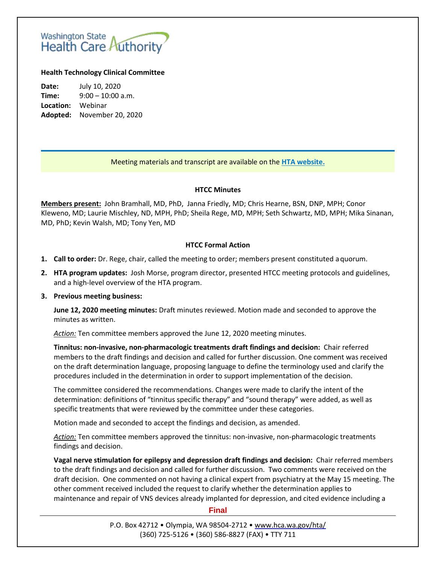# Washington State<br>Health Care Authority

## **Health Technology Clinical Committee**

**Date:** July 10, 2020 **Time:** 9:00 – 10:00 a.m. **Location:** Webinar **Adopted:** November 20, 2020

## Meeting materials and transcript are available on the **[HTA website.](http://www.hca.wa.gov/about-hca/health-technology-assessment/meetings-and-materials)**

#### **HTCC Minutes**

**Members present:** John Bramhall, MD, PhD, Janna Friedly, MD; Chris Hearne, BSN, DNP, MPH; Conor Kleweno, MD; Laurie Mischley, ND, MPH, PhD; Sheila Rege, MD, MPH; Seth Schwartz, MD, MPH; Mika Sinanan, MD, PhD; Kevin Walsh, MD; Tony Yen, MD

## **HTCC Formal Action**

- **1. Call to order:** Dr. Rege, chair, called the meeting to order; members present constituted aquorum.
- **2. HTA program updates:** Josh Morse, program director, presented HTCC meeting protocols and guidelines, and a high-level overview of the HTA program.

### **3. Previous meeting business:**

**June 12, 2020 meeting minutes:** Draft minutes reviewed. Motion made and seconded to approve the minutes as written.

*Action:* Ten committee members approved the June 12, 2020 meeting minutes.

**Tinnitus: non‐invasive, non‐pharmacologic treatments draft findings and decision:** Chair referred members to the draft findings and decision and called for further discussion. One comment was received on the draft determination language, proposing language to define the terminology used and clarify the procedures included in the determination in order to support implementation of the decision.

The committee considered the recommendations. Changes were made to clarify the intent of the determination: definitions of "tinnitus specific therapy" and "sound therapy" were added, as well as specific treatments that were reviewed by the committee under these categories.

Motion made and seconded to accept the findings and decision, as amended.

Action: Ten committee members approved the tinnitus: non-invasive, non-pharmacologic treatments findings and decision.

**Vagal nerve stimulation for epilepsy and depression draft findings and decision:** Chair referred members to the draft findings and decision and called for further discussion. Two comments were received on the draft decision. One commented on not having a clinical expert from psychiatry at the May 15 meeting. The other comment received included the request to clarify whether the determination applies to maintenance and repair of VNS devices already implanted for depression, and cited evidence including a

### **Final**